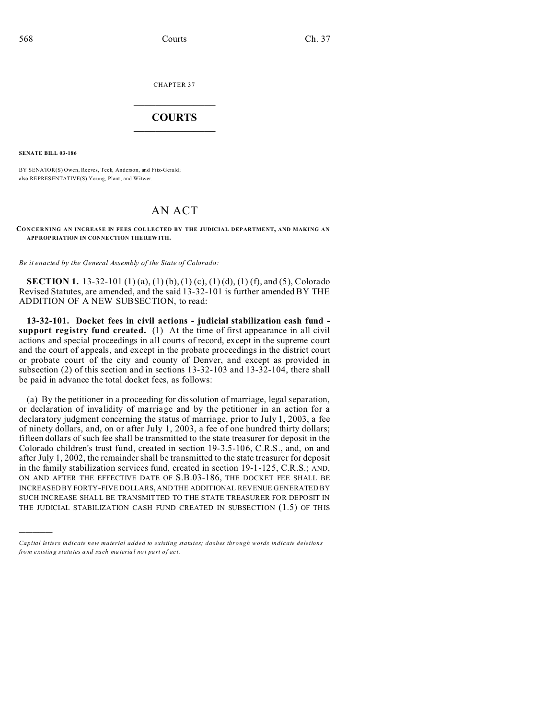CHAPTER 37  $\overline{\phantom{a}}$  , where  $\overline{\phantom{a}}$ 

## **COURTS**  $\_$

**SENATE BILL 03-186**

)))))

BY SENATOR(S) Owen, Reeves, Teck, Anderson, and Fitz-Gerald; also REPRESENTATIVE(S) Yo ung, Plant, and Witwer.

# AN ACT

#### **CONCERNING AN INCREASE IN FEES COLLECTED BY THE JUDICIAL DEPARTMENT, AND MAKING AN APP ROP RIATION IN CONNE CTION THE REW ITH.**

*Be it enacted by the General Assembly of the State of Colorado:*

**SECTION 1.** 13-32-101 (1) (a), (1) (b), (1) (c), (1) (d), (1) (f), and (5), Colorado Revised Statutes, are amended, and the said 13-32-101 is further amended BY THE ADDITION OF A NEW SUBSECTION, to read:

**13-32-101. Docket fees in civil actions - judicial stabilization cash fund support registry fund created.** (1) At the time of first appearance in all civil actions and special proceedings in all courts of record, except in the supreme court and the court of appeals, and except in the probate proceedings in the district court or probate court of the city and county of Denver, and except as provided in subsection (2) of this section and in sections 13-32-103 and 13-32-104, there shall be paid in advance the total docket fees, as follows:

(a) By the petitioner in a proceeding for dissolution of marriage, legal separation, or declaration of invalidity of marriage and by the petitioner in an action for a declaratory judgment concerning the status of marriage, prior to July 1, 2003, a fee of ninety dollars, and, on or after July 1, 2003, a fee of one hundred thirty dollars; fifteen dollars of such fee shall be transmitted to the state treasurer for deposit in the Colorado children's trust fund, created in section 19-3.5-106, C.R.S., and, on and after July 1, 2002, the remainder shall be transmitted to the state treasurer for deposit in the family stabilization services fund, created in section 19-1-125, C.R.S.; AND, ON AND AFTER THE EFFECTIVE DATE OF S.B.03-186, THE DOCKET FEE SHALL BE INCREASED BY FORTY-FIVE DOLLARS, AND THE ADDITIONAL REVENUE GENERATED BY SUCH INCREASE SHALL BE TRANSMITTED TO THE STATE TREASURER FOR DEPOSIT IN THE JUDICIAL STABILIZATION CASH FUND CREATED IN SUBSECTION (1.5) OF THIS

*Capital letters indicate new material added to existing statutes; dashes through words indicate deletions from e xistin g statu tes a nd such ma teria l no t pa rt of ac t.*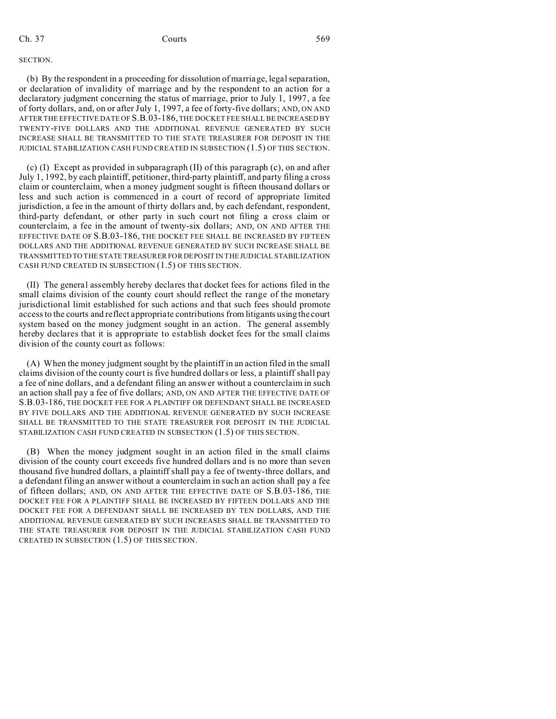### SECTION.

(b) By the respondent in a proceeding for dissolution of marriage, legal separation, or declaration of invalidity of marriage and by the respondent to an action for a declaratory judgment concerning the status of marriage, prior to July 1, 1997, a fee of forty dollars, and, on or after July 1, 1997, a fee of forty-five dollars; AND, ON AND AFTER THE EFFECTIVE DATE OF S.B.03-186, THE DOCKET FEE SHALL BE INCREASED BY TWENTY-FIVE DOLLARS AND THE ADDITIONAL REVENUE GENERATED BY SUCH INCREASE SHALL BE TRANSMITTED TO THE STATE TREASURER FOR DEPOSIT IN THE JUDICIAL STABILIZATION CASH FUND CREATED IN SUBSECTION (1.5) OF THIS SECTION.

(c) (I) Except as provided in subparagraph (II) of this paragraph (c), on and after July 1, 1992, by each plaintiff, petitioner, third-party plaintiff, and party filing a cross claim or counterclaim, when a money judgment sought is fifteen thousand dollars or less and such action is commenced in a court of record of appropriate limited jurisdiction, a fee in the amount of thirty dollars and, by each defendant, respondent, third-party defendant, or other party in such court not filing a cross claim or counterclaim, a fee in the amount of twenty-six dollars; AND, ON AND AFTER THE EFFECTIVE DATE OF S.B.03-186, THE DOCKET FEE SHALL BE INCREASED BY FIFTEEN DOLLARS AND THE ADDITIONAL REVENUE GENERATED BY SUCH INCREASE SHALL BE TRANSMITTED TO THE STATE TREASURER FOR DEPOSIT IN THE JUDICIAL STABILIZATION CASH FUND CREATED IN SUBSECTION (1.5) OF THIS SECTION.

(II) The general assembly hereby declares that docket fees for actions filed in the small claims division of the county court should reflect the range of the monetary jurisdictional limit established for such actions and that such fees should promote access to the courts and reflect appropriate contributions from litigants using the court system based on the money judgment sought in an action. The general assembly hereby declares that it is appropriate to establish docket fees for the small claims division of the county court as follows:

(A) When the money judgment sought by the plaintiff in an action filed in the small claims division of the county court is five hundred dollars or less, a plaintiff shall pay a fee of nine dollars, and a defendant filing an answer without a counterclaim in such an action shall pay a fee of five dollars; AND, ON AND AFTER THE EFFECTIVE DATE OF S.B.03-186, THE DOCKET FEE FOR A PLAINTIFF OR DEFENDANT SHALL BE INCREASED BY FIVE DOLLARS AND THE ADDITIONAL REVENUE GENERATED BY SUCH INCREASE SHALL BE TRANSMITTED TO THE STATE TREASURER FOR DEPOSIT IN THE JUDICIAL STABILIZATION CASH FUND CREATED IN SUBSECTION (1.5) OF THIS SECTION.

(B) When the money judgment sought in an action filed in the small claims division of the county court exceeds five hundred dollars and is no more than seven thousand five hundred dollars, a plaintiff shall pay a fee of twenty-three dollars, and a defendant filing an answer without a counterclaim in such an action shall pay a fee of fifteen dollars; AND, ON AND AFTER THE EFFECTIVE DATE OF S.B.03-186, THE DOCKET FEE FOR A PLAINTIFF SHALL BE INCREASED BY FIFTEEN DOLLARS AND THE DOCKET FEE FOR A DEFENDANT SHALL BE INCREASED BY TEN DOLLARS, AND THE ADDITIONAL REVENUE GENERATED BY SUCH INCREASES SHALL BE TRANSMITTED TO THE STATE TREASURER FOR DEPOSIT IN THE JUDICIAL STABILIZATION CASH FUND CREATED IN SUBSECTION (1.5) OF THIS SECTION.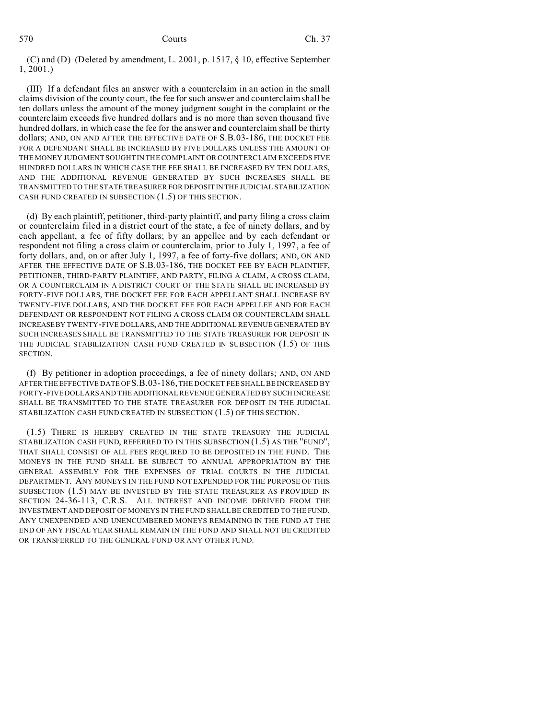(C) and (D) (Deleted by amendment, L. 2001, p. 1517, § 10, effective September 1, 2001.)

(III) If a defendant files an answer with a counterclaim in an action in the small claims division of the county court, the fee for such answer and counterclaim shall be ten dollars unless the amount of the money judgment sought in the complaint or the counterclaim exceeds five hundred dollars and is no more than seven thousand five hundred dollars, in which case the fee for the answer and counterclaim shall be thirty dollars; AND, ON AND AFTER THE EFFECTIVE DATE OF S.B.03-186, THE DOCKET FEE FOR A DEFENDANT SHALL BE INCREASED BY FIVE DOLLARS UNLESS THE AMOUNT OF THE MONEY JUDGMENT SOUGHT IN THE COMPLAINT OR COUNTERCLAIM EXCEEDS FIVE HUNDRED DOLLARS IN WHICH CASE THE FEE SHALL BE INCREASED BY TEN DOLLARS, AND THE ADDITIONAL REVENUE GENERATED BY SUCH INCREASES SHALL BE TRANSMITTED TO THE STATE TREASURER FOR DEPOSIT IN THE JUDICIAL STABILIZATION CASH FUND CREATED IN SUBSECTION (1.5) OF THIS SECTION.

(d) By each plaintiff, petitioner, third-party plaintiff, and party filing a cross claim or counterclaim filed in a district court of the state, a fee of ninety dollars, and by each appellant, a fee of fifty dollars; by an appellee and by each defendant or respondent not filing a cross claim or counterclaim, prior to July 1, 1997, a fee of forty dollars, and, on or after July 1, 1997, a fee of forty-five dollars; AND, ON AND AFTER THE EFFECTIVE DATE OF S.B.03-186, THE DOCKET FEE BY EACH PLAINTIFF, PETITIONER, THIRD-PARTY PLAINTIFF, AND PARTY, FILING A CLAIM, A CROSS CLAIM, OR A COUNTERCLAIM IN A DISTRICT COURT OF THE STATE SHALL BE INCREASED BY FORTY-FIVE DOLLARS, THE DOCKET FEE FOR EACH APPELLANT SHALL INCREASE BY TWENTY-FIVE DOLLARS, AND THE DOCKET FEE FOR EACH APPELLEE AND FOR EACH DEFENDANT OR RESPONDENT NOT FILING A CROSS CLAIM OR COUNTERCLAIM SHALL INCREASEBY TWENTY-FIVE DOLLARS, AND THE ADDITIONAL REVENUE GENERATED BY SUCH INCREASES SHALL BE TRANSMITTED TO THE STATE TREASURER FOR DEPOSIT IN THE JUDICIAL STABILIZATION CASH FUND CREATED IN SUBSECTION (1.5) OF THIS SECTION.

(f) By petitioner in adoption proceedings, a fee of ninety dollars; AND, ON AND AFTER THE EFFECTIVE DATE OF S.B.03-186, THE DOCKET FEE SHALL BE INCREASED BY FORTY-FIVE DOLLARS AND THE ADDITIONAL REVENUE GENERATED BY SUCH INCREASE SHALL BE TRANSMITTED TO THE STATE TREASURER FOR DEPOSIT IN THE JUDICIAL STABILIZATION CASH FUND CREATED IN SUBSECTION (1.5) OF THIS SECTION.

(1.5) THERE IS HEREBY CREATED IN THE STATE TREASURY THE JUDICIAL STABILIZATION CASH FUND, REFERRED TO IN THIS SUBSECTION (1.5) AS THE "FUND", THAT SHALL CONSIST OF ALL FEES REQUIRED TO BE DEPOSITED IN THE FUND. THE MONEYS IN THE FUND SHALL BE SUBJECT TO ANNUAL APPROPRIATION BY THE GENERAL ASSEMBLY FOR THE EXPENSES OF TRIAL COURTS IN THE JUDICIAL DEPARTMENT. ANY MONEYS IN THE FUND NOT EXPENDED FOR THE PURPOSE OF THIS SUBSECTION (1.5) MAY BE INVESTED BY THE STATE TREASURER AS PROVIDED IN SECTION 24-36-113, C.R.S. ALL INTEREST AND INCOME DERIVED FROM THE INVESTMENT AND DEPOSIT OF MONEYS IN THE FUND SHALL BE CREDITED TO THE FUND. ANY UNEXPENDED AND UNENCUMBERED MONEYS REMAINING IN THE FUND AT THE END OF ANY FISCAL YEAR SHALL REMAIN IN THE FUND AND SHALL NOT BE CREDITED OR TRANSFERRED TO THE GENERAL FUND OR ANY OTHER FUND.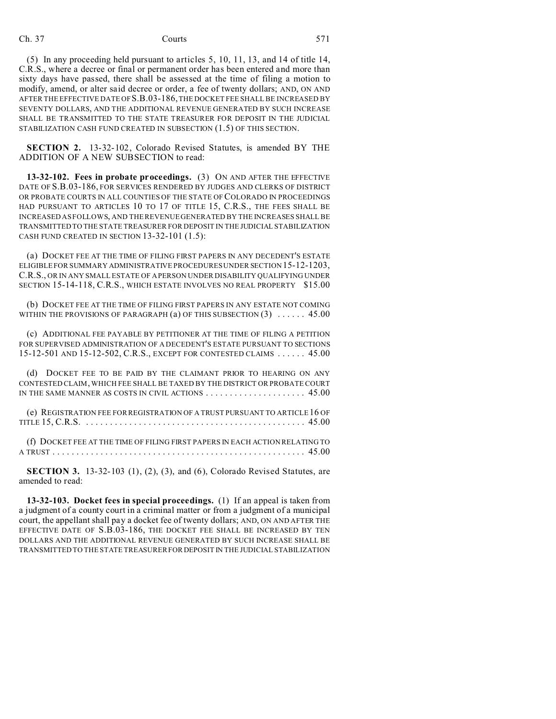(5) In any proceeding held pursuant to articles 5, 10, 11, 13, and 14 of title 14, C.R.S., where a decree or final or permanent order has been entered and more than sixty days have passed, there shall be assessed at the time of filing a motion to modify, amend, or alter said decree or order, a fee of twenty dollars; AND, ON AND AFTER THE EFFECTIVE DATE OF S.B.03-186, THE DOCKET FEE SHALL BE INCREASED BY SEVENTY DOLLARS, AND THE ADDITIONAL REVENUE GENERATED BY SUCH INCREASE SHALL BE TRANSMITTED TO THE STATE TREASURER FOR DEPOSIT IN THE JUDICIAL STABILIZATION CASH FUND CREATED IN SUBSECTION (1.5) OF THIS SECTION.

**SECTION 2.** 13-32-102, Colorado Revised Statutes, is amended BY THE ADDITION OF A NEW SUBSECTION to read:

**13-32-102. Fees in probate proceedings.** (3) ON AND AFTER THE EFFECTIVE DATE OF S.B.03-186, FOR SERVICES RENDERED BY JUDGES AND CLERKS OF DISTRICT OR PROBATE COURTS IN ALL COUNTIES OF THE STATE OF COLORADO IN PROCEEDINGS HAD PURSUANT TO ARTICLES 10 TO 17 OF TITLE 15, C.R.S., THE FEES SHALL BE INCREASED AS FOLLOWS, AND THE REVENUE GENERATED BY THE INCREASES SHALL BE TRANSMITTED TO THE STATE TREASURER FOR DEPOSIT IN THE JUDICIAL STABILIZATION CASH FUND CREATED IN SECTION 13-32-101 (1.5):

(a) DOCKET FEE AT THE TIME OF FILING FIRST PAPERS IN ANY DECEDENT'S ESTATE ELIGIBLE FOR SUMMARY ADMINISTRATIVE PROCEDURES UNDER SECTION 15-12-1203, C.R.S., OR IN ANY SMALL ESTATE OF A PERSON UNDER DISABILITY QUALIFYING UNDER SECTION 15-14-118, C.R.S., WHICH ESTATE INVOLVES NO REAL PROPERTY \$15.00

(b) DOCKET FEE AT THE TIME OF FILING FIRST PAPERS IN ANY ESTATE NOT COMING WITHIN THE PROVISIONS OF PARAGRAPH  $(a)$  OF THIS SUBSECTION  $(3)$  ..... 45.00

(c) ADDITIONAL FEE PAYABLE BY PETITIONER AT THE TIME OF FILING A PETITION FOR SUPERVISED ADMINISTRATION OF A DECEDENT'S ESTATE PURSUANT TO SECTIONS 15-12-501 AND 15-12-502, C.R.S., EXCEPT FOR CONTESTED CLAIMS ...... 45.00

(d) DOCKET FEE TO BE PAID BY THE CLAIMANT PRIOR TO HEARING ON ANY CONTESTED CLAIM, WHICH FEE SHALL BE TAXED BY THE DISTRICT OR PROBATE COURT IN THE SAME MANNER AS COSTS IN CIVIL ACTIONS ..................... 45.00

(e) REGISTRATION FEE FOR REGISTRATION OF A TRUST PURSUANT TO ARTICLE 16 OF TITLE 15, C.R.S. ................. ................. ............ 45.00

(f) DOCKET FEE AT THE TIME OF FILING FIRST PAPERS IN EACH ACTION RELATING TO A TRUST ................. ................. ................. . . 45.00

**SECTION 3.** 13-32-103 (1), (2), (3), and (6), Colorado Revised Statutes, are amended to read:

**13-32-103. Docket fees in special proceedings.** (1) If an appeal is taken from a judgment of a county court in a criminal matter or from a judgment of a municipal court, the appellant shall pay a docket fee of twenty dollars; AND, ON AND AFTER THE EFFECTIVE DATE OF S.B.03-186, THE DOCKET FEE SHALL BE INCREASED BY TEN DOLLARS AND THE ADDITIONAL REVENUE GENERATED BY SUCH INCREASE SHALL BE TRANSMITTED TO THE STATE TREASURER FOR DEPOSIT IN THE JUDICIAL STABILIZATION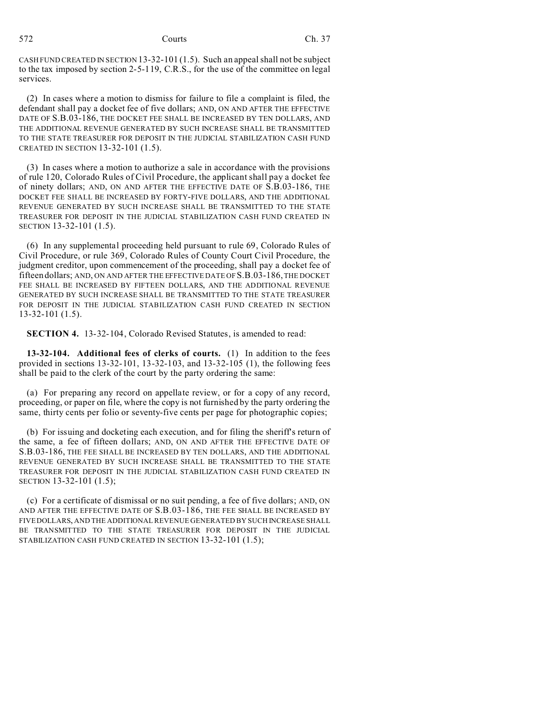572 Courts Ch. 37

CASH FUND CREATED IN SECTION 13-32-101 (1.5). Such an appeal shall not be subject to the tax imposed by section 2-5-119, C.R.S., for the use of the committee on legal services.

(2) In cases where a motion to dismiss for failure to file a complaint is filed, the defendant shall pay a docket fee of five dollars; AND, ON AND AFTER THE EFFECTIVE DATE OF S.B.03-186, THE DOCKET FEE SHALL BE INCREASED BY TEN DOLLARS, AND THE ADDITIONAL REVENUE GENERATED BY SUCH INCREASE SHALL BE TRANSMITTED TO THE STATE TREASURER FOR DEPOSIT IN THE JUDICIAL STABILIZATION CASH FUND CREATED IN SECTION 13-32-101 (1.5).

(3) In cases where a motion to authorize a sale in accordance with the provisions of rule 120, Colorado Rules of Civil Procedure, the applicant shall pay a docket fee of ninety dollars; AND, ON AND AFTER THE EFFECTIVE DATE OF S.B.03-186, THE DOCKET FEE SHALL BE INCREASED BY FORTY-FIVE DOLLARS, AND THE ADDITIONAL REVENUE GENERATED BY SUCH INCREASE SHALL BE TRANSMITTED TO THE STATE TREASURER FOR DEPOSIT IN THE JUDICIAL STABILIZATION CASH FUND CREATED IN SECTION 13-32-101 (1.5).

(6) In any supplemental proceeding held pursuant to rule 69, Colorado Rules of Civil Procedure, or rule 369, Colorado Rules of County Court Civil Procedure, the judgment creditor, upon commencement of the proceeding, shall pay a docket fee of fifteen dollars; AND, ON AND AFTER THE EFFECTIVE DATE OF S.B.03-186, THE DOCKET FEE SHALL BE INCREASED BY FIFTEEN DOLLARS, AND THE ADDITIONAL REVENUE GENERATED BY SUCH INCREASE SHALL BE TRANSMITTED TO THE STATE TREASURER FOR DEPOSIT IN THE JUDICIAL STABILIZATION CASH FUND CREATED IN SECTION 13-32-101 (1.5).

**SECTION 4.** 13-32-104, Colorado Revised Statutes, is amended to read:

**13-32-104. Additional fees of clerks of courts.** (1) In addition to the fees provided in sections 13-32-101, 13-32-103, and 13-32-105 (1), the following fees shall be paid to the clerk of the court by the party ordering the same:

(a) For preparing any record on appellate review, or for a copy of any record, proceeding, or paper on file, where the copy is not furnished by the party ordering the same, thirty cents per folio or seventy-five cents per page for photographic copies;

(b) For issuing and docketing each execution, and for filing the sheriff's return of the same, a fee of fifteen dollars; AND, ON AND AFTER THE EFFECTIVE DATE OF S.B.03-186, THE FEE SHALL BE INCREASED BY TEN DOLLARS, AND THE ADDITIONAL REVENUE GENERATED BY SUCH INCREASE SHALL BE TRANSMITTED TO THE STATE TREASURER FOR DEPOSIT IN THE JUDICIAL STABILIZATION CASH FUND CREATED IN SECTION 13-32-101 (1.5);

(c) For a certificate of dismissal or no suit pending, a fee of five dollars; AND, ON AND AFTER THE EFFECTIVE DATE OF S.B.03-186, THE FEE SHALL BE INCREASED BY FIVE DOLLARS, AND THE ADDITIONAL REVENUE GENERATED BY SUCH INCREASE SHALL BE TRANSMITTED TO THE STATE TREASURER FOR DEPOSIT IN THE JUDICIAL STABILIZATION CASH FUND CREATED IN SECTION 13-32-101 (1.5);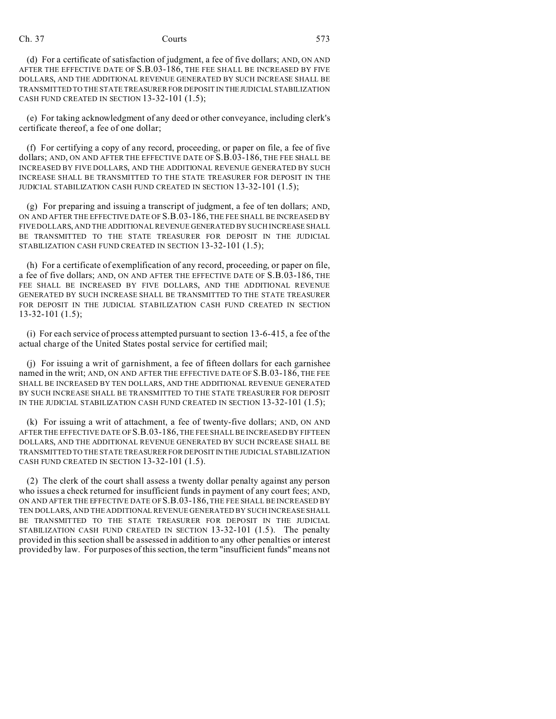# Ch. 37 Courts 573

(d) For a certificate of satisfaction of judgment, a fee of five dollars; AND, ON AND AFTER THE EFFECTIVE DATE OF S.B.03-186, THE FEE SHALL BE INCREASED BY FIVE DOLLARS, AND THE ADDITIONAL REVENUE GENERATED BY SUCH INCREASE SHALL BE TRANSMITTED TO THE STATE TREASURER FOR DEPOSIT IN THEJUDICIAL STABILIZATION CASH FUND CREATED IN SECTION 13-32-101 (1.5);

(e) For taking acknowledgment of any deed or other conveyance, including clerk's certificate thereof, a fee of one dollar;

(f) For certifying a copy of any record, proceeding, or paper on file, a fee of five dollars; AND, ON AND AFTER THE EFFECTIVE DATE OF S.B.03-186, THE FEE SHALL BE INCREASED BY FIVE DOLLARS, AND THE ADDITIONAL REVENUE GENERATED BY SUCH INCREASE SHALL BE TRANSMITTED TO THE STATE TREASURER FOR DEPOSIT IN THE JUDICIAL STABILIZATION CASH FUND CREATED IN SECTION 13-32-101 (1.5);

(g) For preparing and issuing a transcript of judgment, a fee of ten dollars; AND, ON AND AFTER THE EFFECTIVE DATE OF S.B.03-186, THE FEE SHALL BE INCREASED BY FIVE DOLLARS, AND THE ADDITIONAL REVENUE GENERATED BY SUCH INCREASE SHALL BE TRANSMITTED TO THE STATE TREASURER FOR DEPOSIT IN THE JUDICIAL STABILIZATION CASH FUND CREATED IN SECTION 13-32-101 (1.5);

(h) For a certificate of exemplification of any record, proceeding, or paper on file, a fee of five dollars; AND, ON AND AFTER THE EFFECTIVE DATE OF S.B.03-186, THE FEE SHALL BE INCREASED BY FIVE DOLLARS, AND THE ADDITIONAL REVENUE GENERATED BY SUCH INCREASE SHALL BE TRANSMITTED TO THE STATE TREASURER FOR DEPOSIT IN THE JUDICIAL STABILIZATION CASH FUND CREATED IN SECTION 13-32-101 (1.5);

(i) For each service of process attempted pursuant to section 13-6-415, a fee of the actual charge of the United States postal service for certified mail;

(j) For issuing a writ of garnishment, a fee of fifteen dollars for each garnishee named in the writ; AND, ON AND AFTER THE EFFECTIVE DATE OF S.B.03-186, THE FEE SHALL BE INCREASED BY TEN DOLLARS, AND THE ADDITIONAL REVENUE GENERATED BY SUCH INCREASE SHALL BE TRANSMITTED TO THE STATE TREASURER FOR DEPOSIT IN THE JUDICIAL STABILIZATION CASH FUND CREATED IN SECTION 13-32-101 (1.5);

(k) For issuing a writ of attachment, a fee of twenty-five dollars; AND, ON AND AFTER THE EFFECTIVE DATE OF S.B.03-186, THE FEE SHALL BE INCREASED BY FIFTEEN DOLLARS, AND THE ADDITIONAL REVENUE GENERATED BY SUCH INCREASE SHALL BE TRANSMITTED TO THE STATE TREASURER FOR DEPOSITIN THE JUDICIAL STABILIZATION CASH FUND CREATED IN SECTION 13-32-101 (1.5).

(2) The clerk of the court shall assess a twenty dollar penalty against any person who issues a check returned for insufficient funds in payment of any court fees; AND, ON AND AFTER THE EFFECTIVE DATE OF S.B.03-186, THE FEE SHALL BE INCREASED BY TEN DOLLARS, AND THE ADDITIONAL REVENUE GENERATED BY SUCH INCREASE SHALL BE TRANSMITTED TO THE STATE TREASURER FOR DEPOSIT IN THE JUDICIAL STABILIZATION CASH FUND CREATED IN SECTION 13-32-101 (1.5). The penalty provided in this section shall be assessed in addition to any other penalties or interest provided by law. For purposes of this section, the term "insufficient funds" means not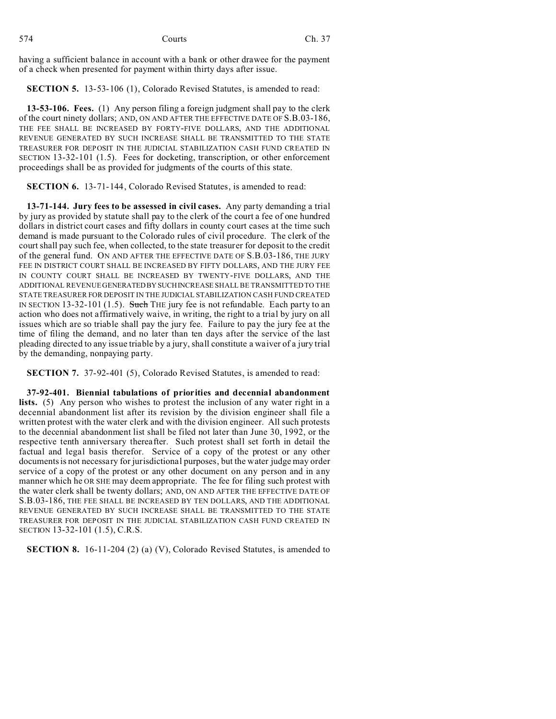having a sufficient balance in account with a bank or other drawee for the payment of a check when presented for payment within thirty days after issue.

**SECTION 5.** 13-53-106 (1), Colorado Revised Statutes, is amended to read:

**13-53-106. Fees.** (1) Any person filing a foreign judgment shall pay to the clerk of the court ninety dollars; AND, ON AND AFTER THE EFFECTIVE DATE OF S.B.03-186, THE FEE SHALL BE INCREASED BY FORTY-FIVE DOLLARS, AND THE ADDITIONAL REVENUE GENERATED BY SUCH INCREASE SHALL BE TRANSMITTED TO THE STATE TREASURER FOR DEPOSIT IN THE JUDICIAL STABILIZATION CASH FUND CREATED IN SECTION 13-32-101 (1.5). Fees for docketing, transcription, or other enforcement proceedings shall be as provided for judgments of the courts of this state.

**SECTION 6.** 13-71-144, Colorado Revised Statutes, is amended to read:

**13-71-144. Jury fees to be assessed in civil cases.** Any party demanding a trial by jury as provided by statute shall pay to the clerk of the court a fee of one hundred dollars in district court cases and fifty dollars in county court cases at the time such demand is made pursuant to the Colorado rules of civil procedure. The clerk of the court shall pay such fee, when collected, to the state treasurer for deposit to the credit of the general fund. ON AND AFTER THE EFFECTIVE DATE OF S.B.03-186, THE JURY FEE IN DISTRICT COURT SHALL BE INCREASED BY FIFTY DOLLARS, AND THE JURY FEE IN COUNTY COURT SHALL BE INCREASED BY TWENTY-FIVE DOLLARS, AND THE ADDITIONAL REVENUE GENERATEDBY SUCHINCREASE SHALL BE TRANSMITTED TO THE STATE TREASURER FOR DEPOSIT IN THE JUDICIAL STABILIZATION CASH FUND CREATED IN SECTION 13-32-101 (1.5). Such THE jury fee is not refundable. Each party to an action who does not affirmatively waive, in writing, the right to a trial by jury on all issues which are so triable shall pay the jury fee. Failure to pay the jury fee at the time of filing the demand, and no later than ten days after the service of the last pleading directed to any issue triable by a jury, shall constitute a waiver of a jury trial by the demanding, nonpaying party.

**SECTION 7.** 37-92-401 (5), Colorado Revised Statutes, is amended to read:

**37-92-401. Biennial tabulations of priorities and decennial abandonment lists.** (5) Any person who wishes to protest the inclusion of any water right in a decennial abandonment list after its revision by the division engineer shall file a written protest with the water clerk and with the division engineer. All such protests to the decennial abandonment list shall be filed not later than June 30, 1992, or the respective tenth anniversary thereafter. Such protest shall set forth in detail the factual and legal basis therefor. Service of a copy of the protest or any other documents is not necessary for jurisdictional purposes, but the water judge may order service of a copy of the protest or any other document on any person and in any manner which he OR SHE may deem appropriate. The fee for filing such protest with the water clerk shall be twenty dollars; AND, ON AND AFTER THE EFFECTIVE DATE OF S.B.03-186, THE FEE SHALL BE INCREASED BY TEN DOLLARS, AND THE ADDITIONAL REVENUE GENERATED BY SUCH INCREASE SHALL BE TRANSMITTED TO THE STATE TREASURER FOR DEPOSIT IN THE JUDICIAL STABILIZATION CASH FUND CREATED IN SECTION 13-32-101 (1.5), C.R.S.

**SECTION 8.** 16-11-204 (2) (a) (V), Colorado Revised Statutes, is amended to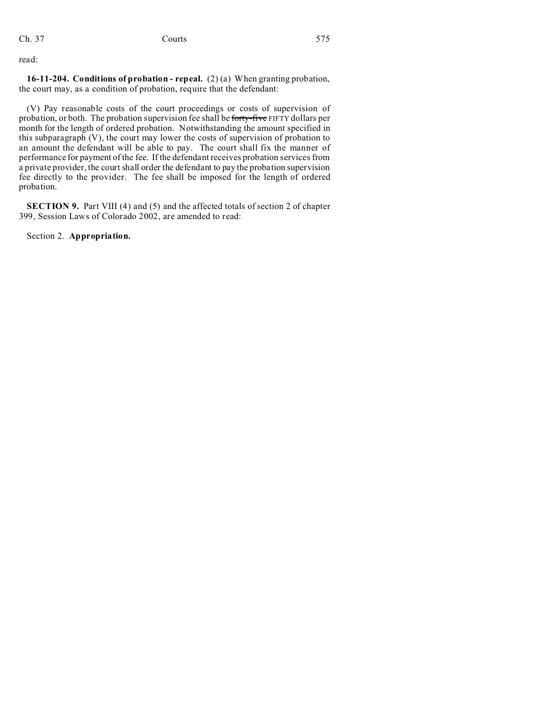read:

**16-11-204. Conditions of probation - repeal.** (2) (a) When granting probation, the court may, as a condition of probation, require that the defendant:

(V) Pay reasonable costs of the court proceedings or costs of supervision of probation, or both. The probation supervision fee shall be forty-five FIFTY dollars per month for the length of ordered probation. Notwithstanding the amount specified in this subparagraph (V), the court may lower the costs of supervision of probation to an amount the defendant will be able to pay. The court shall fix the manner of performance for payment of the fee. If the defendant receives probation services from a private provider, the court shall order the defendant to pay the probation supervision fee directly to the provider. The fee shall be imposed for the length of ordered probation.

**SECTION 9.** Part VIII (4) and (5) and the affected totals of section 2 of chapter 399, Session Laws of Colorado 2002, are amended to read:

Section 2. **Appropriation.**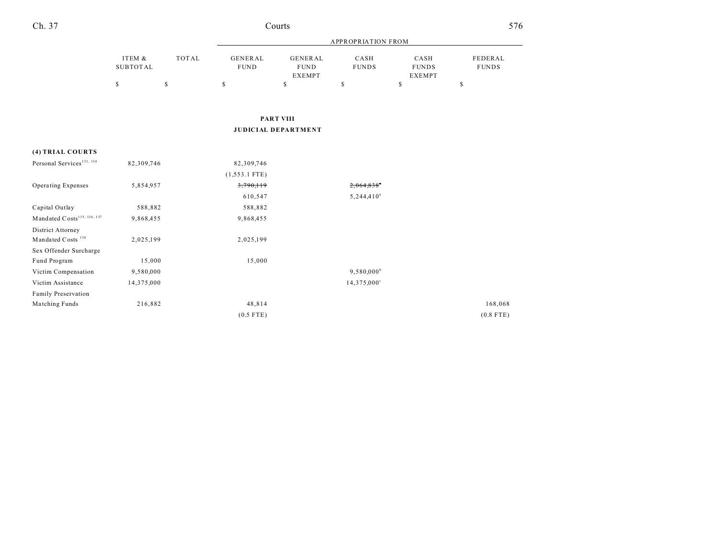| Ch. 37<br>ourtsث | 576 |
|------------------|-----|
|------------------|-----|

| I<br>٦<br>۰.<br>۰,<br>٠ |
|-------------------------|
|-------------------------|

|          |       | <b>APPROPRIATION FROM</b> |               |              |               |              |
|----------|-------|---------------------------|---------------|--------------|---------------|--------------|
| ITEM &   | TOTAL | GENERAL                   | GENERAL       | CASH         | CASH          | FEDERAL      |
| SUBTOTAL |       | <b>FUND</b>               | <b>FUND</b>   | <b>FUNDS</b> | <b>FUNDS</b>  | <b>FUNDS</b> |
|          |       |                           | <b>EXEMPT</b> |              | <b>EXEMPT</b> |              |
|          |       |                           |               |              |               |              |
|          |       |                           |               |              |               |              |

### **PART VIII JUDICIAL DEPARTMENT**

# **(4) TRIAL COURTS** Personal Services<sup>131, 134</sup> 82,309,746 82,309,746 (1,553.1 FTE) Operating Expenses 5,854,957 3,790,119 3,790,119 2,064,838<sup>n</sup> 610,547 5,244,410<sup>a</sup> Capital Outlay 588,882 588,882 Mandated Costs<sup>135, 136, 137</sup> 9,868,455 9,868,455 District Attorney Mandated Costs<sup>138</sup> 2,025,199 2,025,199 Sex Offender Surcharge Fund Program 15,000 15,000 Victim Compensation 9,580,000 9,580,000 9,580,000 9,580,000 9,580,000 9,580,000 9,580,000 9,580,000 9,580,000 9,580,000 9,580,000 9,580,000 9,580,000 9,580,000 9,580,000 9,580,000 9,580,000 9,580,000 9,580,000 9,580,000 9, Victim Assistance  $14,375,000$   $14,375,000$ Family Preservation Matching Funds 216,882 216,882 48,814 2010 168,068 48,814 (0.5 FTE) (0.8 FTE)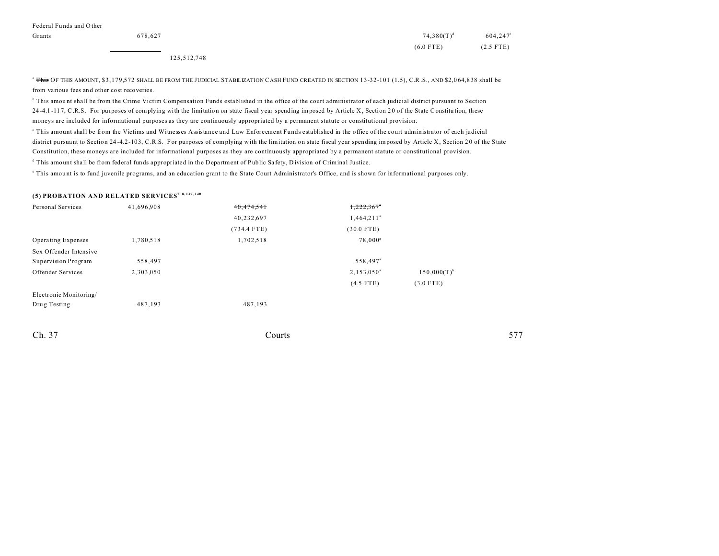| Grants | 678.627 | $74,380(T)^d$ | 604,247°    |
|--------|---------|---------------|-------------|
|        |         | $(6.0$ FTE)   | $(2.5$ FTE) |

125,512,748

<sup>a</sup> This OF THIS AMOUNT, \$3,179,572 SHALL BE FROM THE JUDICIAL STABILIZATION CASH FUND CREATED IN SECTION 13-32-101 (1.5), C.R.S., AND \$2,064,838 shall be from various fees and other cost recoveries.

<sup>b</sup> This amount shall be from the Crime Victim Compensation Funds established in the office of the court administrator of each judicial district pursuant to Section 24-4.1-117, C.R.S. For purposes of complying with the limitation on state fiscal year spending imposed by Article X, Section 20 of the State Constitution, these moneys are included for informational purposes as they are continuously appropriated by a permanent statute or constitutional provision.

c This amount shall be from the Victims and Witnesses Assistance and Law Enforcement Funds established in the office of the court administrator of each judicial district pursuant to Section 24-4.2-103, C.R.S. For purposes of complying with the limitation on state fiscal year spending imposed by Article X, Section 20 of the State Constitution, these moneys are included for informational purposes as they are continuously appropriated by a permanent statute or constitutional provision.

<sup>d</sup> This amount shall be from federal funds appropriated in the Department of Public Safety, Division of Criminal Justice.

e This amou nt is to fund juvenile programs, and an education grant to the State Court Administrator's Office, and is shown for informational purposes only.

### **(5) PROBATION AND RELATED SERVICES7, 8, 139, 140**

| Personal Services      | 41,696,908 | 40, 474, 541  | 1,222,367"               |                  |
|------------------------|------------|---------------|--------------------------|------------------|
|                        |            | 40,232,697    | $1,464,211$ <sup>a</sup> |                  |
|                        |            | $(734.4$ FTE) | $(30.0$ FTE)             |                  |
| Operating Expenses     | 1,780,518  | 1,702,518     | $78,000^a$               |                  |
| Sex Offender Intensive |            |               |                          |                  |
| Supervision Program    | 558,497    |               | 558,497 <sup>a</sup>     |                  |
| Offender Services      | 2,303,050  |               | $2,153,050^{\circ}$      | $150,000(T)^{b}$ |
|                        |            |               | $(4.5$ FTE)              | $(3.0$ FTE)      |
| Electronic Monitoring/ |            |               |                          |                  |
| Drug Testing           | 487,193    | 487,193       |                          |                  |
|                        |            |               |                          |                  |

Ch. 37 Courts **577**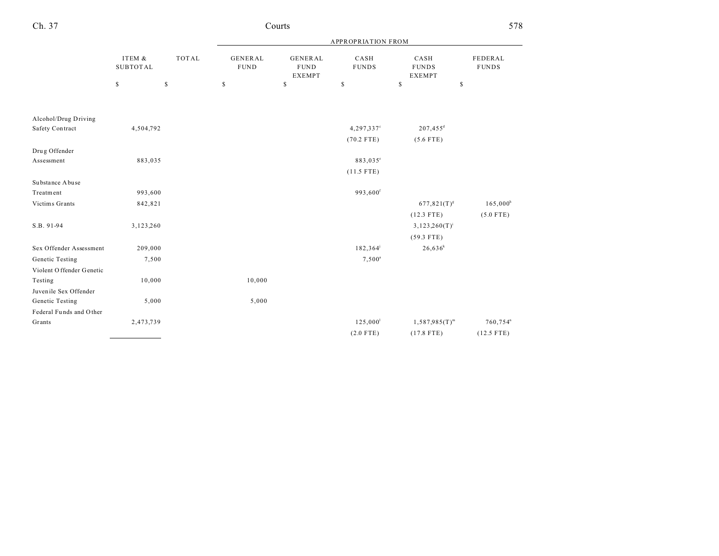| Ch. 37<br>ourtsث | 578 |
|------------------|-----|
|------------------|-----|

|                           |                           |              |                               |                                                | <b>APPROPRIATION FROM</b> |                                       |                         |
|---------------------------|---------------------------|--------------|-------------------------------|------------------------------------------------|---------------------------|---------------------------------------|-------------------------|
|                           | ITEM &<br><b>SUBTOTAL</b> | <b>TOTAL</b> | <b>GENERAL</b><br><b>FUND</b> | <b>GENERAL</b><br><b>FUND</b><br><b>EXEMPT</b> | CASH<br><b>FUNDS</b>      | CASH<br><b>FUNDS</b><br><b>EXEMPT</b> | FEDERAL<br><b>FUNDS</b> |
|                           | \$                        | $\mathbb{S}$ | \$                            | \$                                             | \$                        | \$<br>\$                              |                         |
| Alcohol/Drug Driving      |                           |              |                               |                                                |                           |                                       |                         |
| Safety Contract           | 4,504,792                 |              |                               |                                                | 4,297,337°                | $207,455^d$                           |                         |
|                           |                           |              |                               |                                                | $(70.2$ FTE)              | $(5.6$ FTE)                           |                         |
| Drug Offender             |                           |              |                               |                                                |                           |                                       |                         |
| Assessment                | 883,035                   |              |                               |                                                | 883,035°                  |                                       |                         |
|                           |                           |              |                               |                                                | $(11.5$ FTE)              |                                       |                         |
| Substance Abuse           |                           |              |                               |                                                |                           |                                       |                         |
| Treatment                 | 993,600                   |              |                               |                                                | 993,600 <sup>f</sup>      |                                       |                         |
| Victims Grants            | 842,821                   |              |                               |                                                |                           | $677,821(T)^{g}$                      | $165,000^h$             |
|                           |                           |              |                               |                                                |                           | $(12.3$ FTE)                          | $(5.0$ FTE)             |
| S.B. 91-94                | 3,123,260                 |              |                               |                                                |                           | $3,123,260(T)^{i}$                    |                         |
|                           |                           |              |                               |                                                |                           | $(59.3$ FTE)                          |                         |
| Sex Offender Assessment   | 209,000                   |              |                               |                                                | 182,364                   | $26,636^k$                            |                         |
| Genetic Testing           | 7,500                     |              |                               |                                                | $7,500^a$                 |                                       |                         |
| Violent O ffender Genetic |                           |              |                               |                                                |                           |                                       |                         |
| Testing                   | 10,000                    |              | 10,000                        |                                                |                           |                                       |                         |
| Juvenile Sex Offender     |                           |              |                               |                                                |                           |                                       |                         |
| Genetic Testing           | 5,000                     |              | 5,000                         |                                                |                           |                                       |                         |
| Federal Funds and Other   |                           |              |                               |                                                |                           |                                       |                         |
| Grants                    | 2,473,739                 |              |                               |                                                | 125,000 <sup>1</sup>      | $1,587,985(T)^m$                      | 760,754 <sup>n</sup>    |
|                           |                           |              |                               |                                                | $(2.0$ FTE)               | $(17.8$ FTE)                          | $(12.5$ FTE)            |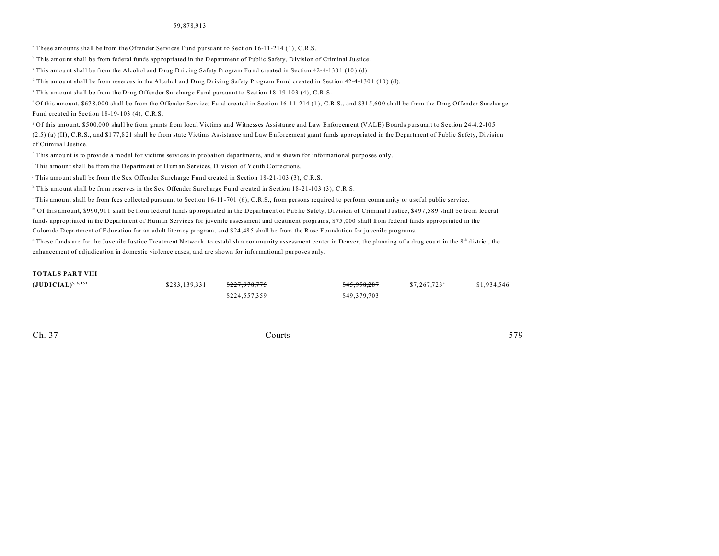#### 59,878,913

a These amounts shall be from the Offender Services Fund pursuant to Section 16-11-214 (1), C.R.S.

<sup>b</sup> This amount shall be from federal funds appropriated in the Department of Public Safety, Division of Criminal Justice.

This amount shall be from the Alcohol and Drug Driving Safety Program Fund created in Section 42-4-1301 (10) (d).

<sup>d</sup> This amount shall be from reserves in the Alcohol and Drug Driving Safety Program Fund created in Section 42-4-1301 (10) (d).

e This amount shall be from the Drug Offender Surcharge Fund pursuant to Section 18-19-103 (4), C.R.S.

<sup>f</sup> Of this amount, \$678,000 shall be from the Offender Services Fund created in Section 16-11-214 (1), C.R.S., and \$315,600 shall be from the Drug Offender Surcharge Fund created in Section 18-19-103 (4), C.R.S.

g Of this amount, \$500,000 shall be from grants from local Victims and Witnesses Assistance and Law Enforcement (VALE) Boards pursuant to Section 24-4.2-105 (2.5) (a) (II), C.R.S., and \$1 77,8 21 shall be from state Victims Assistance and Law Enforcement grant funds appropriated in the Department of Public Safety, Division of Criminal Justice.

<sup>h</sup> This amount is to provide a model for victims services in probation departments, and is shown for informational purposes only.

This amount shall be from the Department of Human Services, Division of Youth Corrections.

j This amount shall be from the Sex Offender Surcharge Fund created in Section 18-21-103 (3), C.R.S.

k This amount shall be from reserves in the Sex Offender Surcharge Fund created in Section 18-21-103 (3), C.R.S.

This amount shall be from fees collected pursuant to Section 16-11-701 (6), C.R.S., from persons required to perform community or useful public service.

m Of this amount, \$990,911 shall be from federal funds appropriated in the Department of Public Safety, Division of Criminal Justice, \$497,589 shall be from federal funds appropriated in the Department of Human Services for juvenile assessment and treatment programs, \$75 ,000 shall from federal funds appropriated in the Colora do D epa rtment of Education for an adult litera cy program, and \$24 ,48 5 shall be from the Rose Founda tion for juvenile programs.

" These funds are for the Juvenile Justice Treatment Network to establish a community assessment center in Denver, the planning of a drug court in the 8<sup>th</sup> district, the enhancement of adjudication in domestic violence cases, and are shown for informational purposes only.

#### **TOTALS PART VIII**

| $({\bf JUDICIAL})^{5,6,153}$ | \$283,139,331 | <del>\$227.978.775</del> | <del>\$45,958,287</del> | $$7.267.723$ <sup>a</sup> | \$1,934,546 |
|------------------------------|---------------|--------------------------|-------------------------|---------------------------|-------------|
|                              |               | \$224,557,359            | \$49,379,703            |                           |             |

Ch. 37 Courts **579**